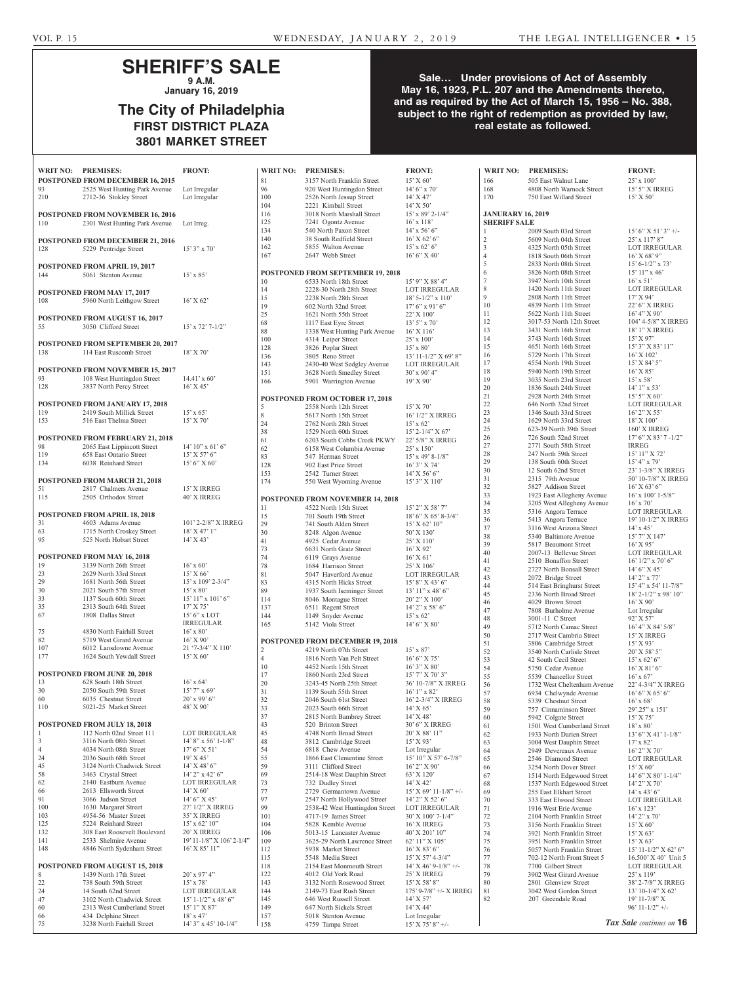## **SHERIFF'S SALE 9 A.M.**

**January 16, 2019**

# **The City of Philadelphia FIRST DISTRICT PLAZA 3801 MARKET STREET**

## **Sale… Under provisions of Act of Assembly May 16, 1923, P.L. 207 and the Amendments thereto, and as required by the Act of March 15, 1956 – No. 388, subject to the right of redemption as provided by law, real estate as followed.**

| WRIT NO: PREMISES: |                                                                          | <b>FRONT:</b>                      |                          |
|--------------------|--------------------------------------------------------------------------|------------------------------------|--------------------------|
|                    | <b>POSTPONED FROM DECEMBER 16, 2015</b>                                  |                                    | ξ                        |
| 93                 | 2525 West Hunting Park Avenue                                            | Lot Irregular                      | Ç                        |
| 210                | 2712-36 Stokley Street                                                   | Lot Irregular                      |                          |
|                    |                                                                          |                                    |                          |
| 110                | <b>POSTPONED FROM NOVEMBER 16, 2016</b><br>2301 West Hunting Park Avenue | Lot Irreg.                         |                          |
|                    |                                                                          |                                    |                          |
|                    | <b>POSTPONED FROM DECEMBER 21, 2016</b>                                  |                                    |                          |
| 128                | 5229 Pentridge Street                                                    | $15'3''$ x 70'                     |                          |
|                    |                                                                          |                                    |                          |
|                    | <b>POSTPONED FROM APRIL 19, 2017</b>                                     |                                    |                          |
| 144                | 5061 Stenton Avenue                                                      | $15'$ x 85'                        | I                        |
|                    |                                                                          |                                    |                          |
|                    | POSTPONED FROM MAY 17, 2017                                              |                                    |                          |
| 108                | 5960 North Leithgow Street                                               | $16'$ X 62'                        |                          |
|                    |                                                                          |                                    |                          |
|                    | <b>POSTPONED FROM AUGUST 16, 2017</b>                                    |                                    | 2<br>$\epsilon$          |
| 55                 | 3050 Clifford Street                                                     | $15'$ x $72'$ 7- $1/2''$           | ξ                        |
|                    |                                                                          |                                    |                          |
|                    | POSTPONED FROM SEPTEMBER 20, 2017                                        |                                    |                          |
| 138                | 114 East Ruscomb Street                                                  | $18'$ X 70'                        |                          |
|                    |                                                                          |                                    |                          |
|                    | <b>POSTPONED FROM NOVEMBER 15, 2017</b>                                  |                                    |                          |
| 93<br>128          | 108 West Huntingdon Street<br>3837 North Percy Street                    | $14.41' \times 60'$<br>$16'$ X 45' |                          |
|                    |                                                                          |                                    |                          |
|                    | <b>POSTPONED FROM JANUARY 17, 2018</b>                                   |                                    |                          |
| 119                | 2419 South Millick Street                                                | $15' \times 65'$                   |                          |
| 153                | 516 East Thelma Street                                                   | 15' X 70'                          | ξ                        |
|                    |                                                                          |                                    | $\tilde{z}$<br>3         |
|                    | <b>POSTPONED FROM FEBRUARY 21, 2018</b>                                  |                                    | $\epsilon$               |
| 98                 | 2065 East Lippincott Street                                              | $14'$ $10''$ x $61'$ $6''$         | $\epsilon$               |
| 119                | 658 East Ontario Street                                                  | $15'$ X 57' 6"                     | ξ                        |
| 134                | 6038 Reinhard Street                                                     | $15'6''$ X 60'                     | 1                        |
|                    |                                                                          |                                    |                          |
|                    | <b>POSTPONED FROM MARCH 21, 2018</b>                                     |                                    | 1                        |
| 51<br>115          | 2817 Chalmers Avenue<br>2505 Orthodox Street                             | 15' X IRREG<br>40' X IRREG         |                          |
|                    |                                                                          |                                    | I                        |
|                    | <b>POSTPONED FROM APRIL 18, 2018</b>                                     |                                    | 1                        |
| 31                 | 4603 Adams Avenue                                                        | 101' 2-2/8" X IRREG                | 1                        |
|                    | 1715 North Croskey Street                                                | $18'$ X 47' 1"                     |                          |
| 63<br>95           | 525 North Hobart Street                                                  | $14'$ X 43'                        |                          |
|                    |                                                                          |                                    | こうさん                     |
|                    | POSTPONED FROM MAY 16, 2018                                              |                                    |                          |
| 19                 | 3139 North 26th Street                                                   | $16^\circ$ x $60^\circ$            |                          |
| 23                 | 2629 North 33rd Street                                                   | 15' X 66'                          |                          |
| 29                 | 1681 North 56th Street                                                   | 15' x 109' 2-3/4"                  | ξ                        |
| 30                 | 2021 South 57th Street<br>1137 South 60th Street                         | $15' \times 80'$                   | ξ                        |
| 33<br>35           | 2313 South 64th Street                                                   | 15' 11" x 101' 6"<br>17' X 75'     |                          |
| 67                 | 1808 Dallas Street                                                       | $15'6''$ x LOT                     |                          |
|                    |                                                                          | <b>IRREGULAR</b>                   | 1                        |
| 75                 | 4830 North Fairhill Street                                               | $16'$ x $80'$                      |                          |
| 82                 | 5719 West Girard Avenue                                                  | $16'$ X 90'                        | I                        |
| 107                | 6012 Lansdowne Avenue                                                    | 21 '7-3/4" X 110'                  |                          |
| 177                | 1624 South Yewdall Street                                                | 15' X 60'                          | $\overline{\phantom{a}}$ |
|                    |                                                                          |                                    | 1                        |
|                    | POSTPONED FROM JUNE 20, 2018                                             |                                    |                          |
| 13<br>30           | 628 South 18th Street<br>2050 South 59th Street                          | $16'$ x 64'<br>15' 7" x 69'        |                          |
| 60                 | 6035 Chestnut Street                                                     | $20'$ x 99' 6"                     |                          |
| 110                | 5021-25 Market Street                                                    | 48' X 90'                          | د در در در در در         |
|                    |                                                                          |                                    |                          |
|                    | POSTPONED FROM JULY 18, 2018                                             |                                    | $\overline{\phantom{a}}$ |
| 1                  | 112 North 02nd Street 111                                                | LOT IRREGULAR                      | $\angle$                 |
| 3                  | 3116 North 08th Street                                                   | $14'$ 8" x 56' 1-1/8"              | $\angle$                 |
| $\overline{4}$     | 4034 North 08th Street                                                   | $17'6''$ X 51'                     |                          |
| 24<br>45           | 2036 South 68th Street<br>3124 North Chadwick Street                     | 19' X 45'<br>$14'$ X 48' 6"        | $\frac{1}{2}$            |
| 58                 | 3463 Crystal Street                                                      | $14'$ 2" x 42' 6"                  | $\epsilon$               |
| 62                 | 2140 Eastburn Avenue                                                     | <b>LOT IRREGULAR</b>               | 7                        |
| 66                 | 2613 Ellsworth Street                                                    | $14'$ X 60'                        | 7                        |
| 91                 | 3066 Judson Street                                                       | $14'6''$ X 45'                     | Ç                        |
| 100                | 1630 Margaret Street                                                     | 27' 1/2" X IRREG                   | Ç                        |
| 103                | 4954-56 Master Street                                                    | 35' X IRREG                        | 1                        |
| 125                | 5224 Reinhard Street                                                     | $15'$ x 62' $10''$                 |                          |
| 132                | 308 East Roosevelt Boulevard                                             | 20' X IRREG                        |                          |
| 141                | 2533 Shelmire Avenue                                                     | 19' 11-1/8" X 106' 2-1/4"          |                          |
| 148                | 4846 North Sydenham Street                                               | 16' X 85' 11"                      |                          |
|                    | POSTPONED FROM AUGUST 15, 2018                                           |                                    | 1                        |
| 8                  | 1439 North 17th Street                                                   | 20' x 97' 4"                       |                          |
| 22                 | 738 South 59th Street                                                    | $15'$ x 78'                        |                          |
| 24                 | 14 South 62nd Street                                                     | <b>LOT IRREGULAR</b>               |                          |
| 47                 | 3102 North Chadwick Street                                               | $15^\circ$ 1-1/2" x 48' 6"         |                          |
| 60                 | 2313 West Cumberland Street                                              | 15' 1" X 87'                       | 1                        |
| 66                 | 434 Delphine Street                                                      | $18'$ x 47'                        |                          |
| 75                 | 3238 North Fairhill Street                                               | 14' 3" x 45' 10-1/4"               |                          |

| 81             | 3157 North Franklin Street               | 15' X 60'                           |
|----------------|------------------------------------------|-------------------------------------|
| 96             | 920 West Huntingdon Street               | $14'$ 6" x 70"                      |
| 100            | 2526 North Jessup Street                 | 14' X 47'                           |
|                |                                          |                                     |
| 104            | 2221 Kimball Street                      | $14'$ X 50'                         |
| 116            | 3018 North Marshall Street               | $15'$ x 89' 2-1/4"                  |
| 125            | 7241 Ogontz Avenue                       | $16'$ x $118'$                      |
| 134            | 540 North Paxon Street                   | $14'$ x 56' 6"                      |
|                | 38 South Redfield Street                 |                                     |
| 140            |                                          | $16'$ X 62' 6"                      |
| 162            | 5855 Walton Avenue                       | $15'$ x 62' 6"                      |
| 167            | 2647 Webb Street                         | 16' 6'' X 40'                       |
|                |                                          |                                     |
|                |                                          |                                     |
|                | <b>POSTPONED FROM SEPTEMBER 19, 2018</b> |                                     |
| 10             | 6533 North 18th Street                   | 15' 9" X 88' 4"                     |
| 14             | 2228-30 North 28th Street                | <b>LOT IRREGULAR</b>                |
| 15             | 2238 North 28th Street                   | $18'$ 5- $1/2''$ x $110'$           |
| 19             | 602 North 32nd Street                    | $17'6''$ x 91' 6"                   |
|                |                                          |                                     |
| 25             | 1621 North 55th Street                   | 22' X 100'                          |
| 68             | 1117 East Eyre Street                    | $13'5''$ x 70'                      |
| 88             | 1338 West Hunting Park Avenue            | $16'$ X $116'$                      |
| 100            | 4314 Leiper Street                       | $25'$ x $100'$                      |
|                |                                          |                                     |
| 128            | 3826 Poplar Street                       | $15' \times 80'$                    |
| 136            | 3805 Reno Street                         | 13' 11-1/2" X 69' 8"                |
| 143            | 2430-40 West Sedgley Avenue              | LOT IRREGULAR                       |
| 151            | 3628 North Smedley Street                | $30'$ x $90'$ 4"                    |
| 166            | 5901 Warrington Avenue                   | 19' X 90'                           |
|                |                                          |                                     |
|                |                                          |                                     |
|                | POSTPONED FROM OCTOBER 17, 2018          |                                     |
| 5              | 2558 North 12th Street                   | $15'$ X 70'                         |
|                | 5617 North 15th Street                   |                                     |
| 8              |                                          | 16' 1/2" X IRREG                    |
| 24             | 2762 North 28th Street                   | $15'$ x 62'                         |
| 38             | 1529 North 60th Street                   | 15' 2-1/4" X 67'                    |
| 61             | 6203 South Cobbs Creek PKWY              | 22' 5/8" X IRREG                    |
| 62             | 6158 West Columbia Avenue                | $25'$ x $150'$                      |
|                |                                          |                                     |
| 83             | 547 Herman Street                        | 15' x 49' 8-1/8"                    |
| 128            | 902 East Price Street                    | 16' 3" X 74'                        |
| 153            | 2542 Turner Street                       | $14'$ X 56' 6"                      |
| 174            | 550 West Wyoming Avenue                  | 15' 3" X 110'                       |
|                |                                          |                                     |
|                |                                          |                                     |
|                | POSTPONED FROM NOVEMBER 14, 2018         |                                     |
| 11             | 4522 North 15th Street                   | 15' 2" X 58' 7"                     |
| 15             | 701 South 19th Street                    | 18' 6" X 65' 8-3/4"                 |
| 29             | 741 South Alden Street                   | 15' X 62' 10"                       |
|                |                                          |                                     |
| 30             | 8248 Algon Avenue                        | 50' X 130'                          |
| 41             | 4925 Cedar Avenue                        | 25' X 110'                          |
| 73             | 6631 North Gratz Street                  | $16'$ X 92'                         |
| 74             | 6119 Grays Avenue                        | $16'$ X 61'                         |
| 78             | 1684 Harrison Street                     | 25' X 106'                          |
|                |                                          |                                     |
| 81             | 5047 Haverford Avenue                    | <b>LOT IRREGULAR</b>                |
| 83             | 4315 North Hicks Street                  | $15'8''$ X 43' 6"                   |
| 89             | 1937 South Iseminger Street              | $13'$ $11''$ x $48'$ 6"             |
| 114            | 8046 Montague Street                     | 20' 2" X 100'                       |
|                | 6511 Regent Street                       |                                     |
| 137            |                                          | 14' 2" x 58' 6"                     |
| 144            | 1149 Snyder Avenue                       | $15' \times 62'$                    |
|                |                                          |                                     |
| 165            | 5142 Viola Street                        | 14' 6" X 80'                        |
|                |                                          |                                     |
|                |                                          |                                     |
|                | POSTPONED FROM DECEMBER 19, 2018         |                                     |
| 2              | 4219 North 07th Street                   | $15'$ x 87'                         |
| $\overline{4}$ | 1816 North Van Pelt Street               | 16' 6" X 75'                        |
|                |                                          |                                     |
| 10             | 4452 North 15th Street                   | 16' 3" X 80'                        |
| 17             | 1860 North 23rd Street                   | 15' 7" X 70' 3"                     |
| 20             | 3243-45 North 25th Street                | 36' 10-7/8" X IRREG                 |
| 31             | 1139 South 55th Street                   | $16'1''$ x 82'                      |
| 32             | 2046 South 61st Street                   | 16' 2-3/4" X IRREG                  |
| 33             | 2023 South 66th Street                   | 14' X 65'                           |
| 37             |                                          | $14'$ X 48'                         |
|                | 2815 North Bambrey Street                |                                     |
| 43             | 520 Brinton Street                       | 30' 6" X IRREG                      |
| 45             | 4748 North Broad Street                  | 20' X 88' 11"                       |
| 48             | 3812 Cambridge Street                    | $15'$ X 93'                         |
| 54             | 6818 Chew Avenue                         | Lot Irregular                       |
| 55             | 1866 East Clementine Street              |                                     |
|                |                                          | 15' 10" X 57' 6-7/8"                |
| 59             | 3111 Clifford Street                     | 16' 2" X 90'                        |
| 69             | 2514-18 West Dauphin Street              | 63' X 120'                          |
| 73             | 732 Dudley Street                        | 14' X 42'                           |
| 77             | 2729 Germantown Avenue                   | 15' X 69' 11-1/8" +/-               |
| 97             | 2547 North Hollywood Street              | 14' 2" X 52' 6"                     |
| 99             | 2538-42 West Huntingdon Street           | LOT IRREGULAR                       |
|                |                                          |                                     |
| 101            | 4717-19 James Street                     | 30' X 100' 7-1/4"                   |
| 104            | 5828 Kemble Avenue                       | 16' X IRREG                         |
| 106            | 5013-15 Lancaster Avenue                 | 40' X 201' 10"                      |
| 109            | 3625-29 North Lawrence Street            | 62' 11" X 105'                      |
| 112            | 5938 Market Street                       | $16'$ X 83' 6"                      |
|                |                                          |                                     |
| 115            | 5548 Media Street                        | 15' X 57' 4-3/4"                    |
| 118            | 2154 East Monmouth Street                | $14'$ X 46' 9-1/8" +/-              |
| 122            | 4012 Old York Road                       | 25' X IRREG                         |
| 143            | 3132 North Rosewood Street               | 15' X 58' 8"                        |
| 144            | 2149-73 East Rush Street                 | 175' 9-7/8" +/- X IRREG             |
|                |                                          |                                     |
| 145            | 646 West Russell Street                  | 14' X 57'                           |
| 149            | 647 North Sickels Street                 | 14' X 44'                           |
| 157<br>158     | 5018 Stenton Avenue<br>4759 Tampa Street | Lot Irregular<br>$15'$ X 75' 8" +/- |

| <b>WRIT NO:</b>         | <b>PREMISES:</b>                                    | <b>FRONT:</b>                               | <b>WRIT NO:</b>          | <b>PREMISES:</b>                                         | <b>FRONT:</b>                            |
|-------------------------|-----------------------------------------------------|---------------------------------------------|--------------------------|----------------------------------------------------------|------------------------------------------|
| 81                      | 3157 North Franklin Street                          | $15'$ X 60'                                 | 166                      | 505 East Walnut Lane                                     | $25'$ x $100'$                           |
| 96                      | 920 West Huntingdon Street                          | $14'$ 6" x 70"                              | 168                      | 4808 North Warnock Street                                | 15' 5" X IRREG                           |
| 100                     | 2526 North Jessup Street                            | $14'$ X 47'                                 | 170                      | 750 East Willard Street                                  | $15'$ X 50'                              |
| 104                     | 2221 Kimball Street                                 | $14'$ X 50'                                 |                          |                                                          |                                          |
| 116                     | 3018 North Marshall Street                          | $15'$ x 89' 2-1/4"                          | <b>JANURARY 16, 2019</b> |                                                          |                                          |
| 125                     | 7241 Ogontz Avenue                                  | $16'$ x $118'$                              | <b>SHERIFF SALE</b>      |                                                          |                                          |
| 134                     | 540 North Paxon Street                              | $14'$ x 56' 6"                              | 1                        | 2009 South 03rd Street                                   | $15'$ 6" X 51' 3" +/-                    |
| 140                     | 38 South Redfield Street                            | $16'$ X 62' 6"                              | $\overline{c}$           | 5609 North 04th Street                                   | 25' x 117' 8"                            |
| 162                     | 5855 Walton Avenue                                  | $15'$ x 62' 6"                              | 3                        | 4325 North 05th Street                                   | LOT IRREGULAR                            |
| 167                     | 2647 Webb Street                                    | 16' 6''  X 40'                              | $\overline{4}$           | 1818 South 06th Street                                   | $16'$ X 68' 9"                           |
|                         |                                                     |                                             | 5                        | 2833 North 08th Street                                   | $15' 6 - 1/2''  x 73'$                   |
|                         | POSTPONED FROM SEPTEMBER 19, 2018                   |                                             | 6                        | 3826 North 08th Street                                   | $15'$ 11" x 46'                          |
| 10                      | 6533 North 18th Street                              | $15'$ 9" X 88' 4"                           | $\overline{7}$           | 3947 North 10th Street                                   | $16' \times 51'$                         |
| 14                      | 2228-30 North 28th Street                           | <b>LOT IRREGULAR</b>                        | 8<br>9                   | 1420 North 11th Street                                   | LOT IRREGULAR                            |
| 15                      | 2238 North 28th Street                              | $18'$ 5-1/2" x 110"                         | 10                       | 2808 North 11th Street<br>4839 North 11th Street         | 17' X 94'<br>22' 6" X IRREG              |
| 19<br>25                | 602 North 32nd Street<br>1621 North 55th Street     | $17'6''$ x 91' 6"<br>22' X 100'             | 11                       | 5622 North 11th Street                                   | 16' 4'' X 90'                            |
| 68                      | 1117 East Eyre Street                               | $13'5''$ x 70'                              | 12                       | 3017-53 North 12th Street                                | 104' 4-5/8" X IRREG                      |
| 88                      | 1338 West Hunting Park Avenue                       | $16'$ X $116'$                              | 13                       | 3431 North 16th Street                                   | 18' 1" X IRREG                           |
| 100                     | 4314 Leiper Street                                  | $25'$ x $100'$                              | 14                       | 3743 North 16th Street                                   | $15'$ X 97'                              |
| 128                     | 3826 Poplar Street                                  | $15' \times 80'$                            | 15                       | 4651 North 16th Street                                   | $15'3''$ X 83' 11"                       |
| 136                     | 3805 Reno Street                                    | $13'$ 11-1/2" X 69' 8"                      | 16                       | 5729 North 17th Street                                   | $16'$ X $102'$                           |
| 143                     | 2430-40 West Sedgley Avenue                         | LOT IRREGULAR                               | 17                       | 4554 North 19th Street                                   | $15'$ X 84' 5"                           |
| 151                     | 3628 North Smedley Street                           | $30'$ x 90' 4"                              | 18                       | 5940 North 19th Street                                   | $16'$ X $85'$                            |
| 166                     | 5901 Warrington Avenue                              | 19' X 90'                                   | 19                       | 3035 North 23rd Street                                   | $15' \times 58'$                         |
|                         |                                                     |                                             | 20                       | 1836 South 24th Street                                   | $14'1''$ x 53'                           |
|                         | <b>POSTPONED FROM OCTOBER 17, 2018</b>              |                                             | 21                       | 2928 North 24th Street                                   | $15'5''$ X 60'                           |
| 5                       | 2558 North 12th Street                              | $15'$ X 70'                                 | 22                       | 646 North 32nd Street                                    | LOT IRREGULAR                            |
| 8                       | 5617 North 15th Street                              | 16' 1/2" X IRREG                            | 23                       | 1346 South 33rd Street                                   | $16'$ 2" X 55'                           |
| 24                      | 2762 North 28th Street                              | $15' \times 62'$                            | 24<br>25                 | 1629 North 33rd Street                                   | 18' X 100'                               |
| 38                      | 1529 North 60th Street                              | $15'$ 2-1/4" X 67'                          | 26                       | 623-39 North 39th Street                                 | 160' X IRREG                             |
| 61                      | 6203 South Cobbs Creek PKWY                         | 22' 5/8" X IRREG                            | 27                       | 726 South 52nd Street<br>2771 South 58th Street          | $17'$ 6" X 83' 7 -1/2"<br><b>IRREG</b>   |
| 62                      | 6158 West Columbia Avenue                           | $25'$ x $150'$                              | 28                       | 247 North 59th Street                                    | 15' 11" X 72'                            |
| 83                      | 547 Herman Street                                   | $15'$ x 49' 8-1/8"                          | 29                       | 138 South 60th Street                                    | $15' 4''$ x 79'                          |
| 128                     | 902 East Price Street                               | $16'$ 3" X 74"                              | 30                       | 12 South 62nd Street                                     | 23' 1-3/8" X IRREG                       |
| 153                     | 2542 Turner Street                                  | $14'$ X 56' 6"                              | 31                       | 2315 79th Avenue                                         | 50' 10-7/8" X IRREG                      |
| 174                     | 550 West Wyoming Avenue                             | $15'3''$ X $110'$                           | 32                       | 5827 Addison Street                                      | $16'$ X 63' 6"                           |
|                         |                                                     |                                             | 33                       | 1923 East Allegheny Avenue                               | $16'$ x $100'$ 1-5/8"                    |
|                         | POSTPONED FROM NOVEMBER 14, 2018                    |                                             | 34                       | 3205 West Allegheny Avenue                               | $16'$ x $70'$                            |
| 11                      | 4522 North 15th Street<br>701 South 19th Street     | $15'$ 2" X 58' 7"                           | 35                       | 5316 Angora Terrace                                      | LOT IRREGULAR                            |
| 15<br>29                | 741 South Alden Street                              | $18'$ 6" X 65' 8-3/4"<br>$15'$ X 62' $10''$ | 36                       | 5413 Angora Terrace                                      | 19' 10-1/2" X IRREG                      |
| 30                      | 8248 Algon Avenue                                   | 50' X 130'                                  | 37                       | 3116 West Arizona Street                                 | $14'$ x $45'$                            |
| 41                      | 4925 Cedar Avenue                                   | 25' X 110'                                  | 38                       | 5340 Baltimore Avenue                                    | 15' 7" X 147'                            |
| 73                      | 6631 North Gratz Street                             | $16'$ X 92'                                 | 39                       | 5817 Beaumont Street                                     | $16'$ X 95'                              |
| 74                      | 6119 Grays Avenue                                   | $16'$ X 61'                                 | 40                       | 2007-13 Bellevue Street                                  | LOT IRREGULAR                            |
| 78                      | 1684 Harrison Street                                | 25' X 106'                                  | 41                       | 2510 Bonaffon Street                                     | $16'$ $1/2$ " x $70'$ $6"$               |
| 81                      | 5047 Haverford Avenue                               | LOT IRREGULAR                               | 42<br>43                 | 2727 North Bonsall Street<br>2072 Bridge Street          | 14' 6" X 45'                             |
| 83                      | 4315 North Hicks Street                             | $15'8''$ X 43' 6"                           | 44                       | 514 East Bringhurst Street                               | $14'$ 2" x 77'<br>$15'$ 4" x 54' 11-7/8" |
| 89                      | 1937 South Iseminger Street                         | $13'$ 11" x 48' 6"                          | 45                       | 2336 North Broad Street                                  | $18'$ 2- $1/2''$ x 98' $10''$            |
| 114                     | 8046 Montague Street                                | $20'$ 2" X $100'$                           | 46                       | 4029 Brown Street                                        | $16'$ X 90'                              |
| 137                     | 6511 Regent Street                                  | $14'$ 2" x 58' 6"                           | 47                       | 7808 Burholme Avenue                                     | Lot Irregular                            |
| 144                     | 1149 Snyder Avenue                                  | $15' \times 62'$                            | 48                       | 3001-11 C Street                                         | 92' X 57'                                |
| 165                     | 5142 Viola Street                                   | $14'6''$ X 80'                              | 49                       | 5712 North Camac Street                                  | $16'$ 4" X 84' 5/8"                      |
|                         |                                                     |                                             | 50                       | 2717 West Cambria Street                                 | 15' X IRREG                              |
|                         | POSTPONED FROM DECEMBER 19, 2018                    |                                             | 51                       | 3806 Cambridge Street                                    | $15'$ X 93'                              |
| $\overline{\mathbf{c}}$ | 4219 North 07th Street                              | $15'$ x 87'                                 | 52                       | 3540 North Carlisle Street                               | 20' X 58' 5"                             |
| 4                       | 1816 North Van Pelt Street                          | 16' 6''  X 75'                              | 53                       | 42 South Cecil Street                                    | $15'$ x 62' 6"                           |
| 10                      | 4452 North 15th Street                              | 16' 3" X 80'                                | 54                       | 5750 Cedar Avenue                                        | $16'$ X 81' 6"                           |
| 17                      | 1860 North 23rd Street                              | $15'$ 7" X 70' 3"                           | 55                       | 5539 Chancellor Street                                   | $16'$ x 67'                              |
| 20<br>31                | 3243-45 North 25th Street<br>1139 South 55th Street | 36' 10-7/8" X IRREG<br>$16'1''$ x 82'       | 56                       | 1732 West Cheltenham Avenue                              | 22' 4-3/4" X IRREG                       |
| 32                      | 2046 South 61st Street                              | 16' 2-3/4" X IRREG                          | 57                       | 6934 Chelwynde Avenue                                    | 16' 6'' X 65' 6''                        |
| 33                      | 2023 South 66th Street                              | $14'$ X 65'                                 | 58<br>59                 | 5339 Chestnut Street                                     | $16'$ x 68'                              |
| 37                      | 2815 North Bambrey Street                           | $14'$ X 48'                                 | 60                       | 757 Cinnaminson Street<br>5942 Colgate Street            | 29'.25" x 151'<br>$15'$ X 75'            |
| 43                      | 520 Brinton Street                                  | 30' 6" X IRREG                              | 61                       | 1501 West Cumberland Street                              | $18'$ x $80'$                            |
| 45                      | 4748 North Broad Street                             | $20'$ X 88' 11"                             | 62                       | 1933 North Darien Street                                 | $13'$ 6" X 41' 1-1/8"                    |
| 48                      | 3812 Cambridge Street                               | $15'$ X 93'                                 | 63                       | 3004 West Dauphin Street                                 | $17'$ x 82'                              |
| 54                      | 6818 Chew Avenue                                    | Lot Irregular                               | 64                       | 2949 Devereaux Avenue                                    | $16'$ 2" X 70'                           |
| 55                      | 1866 East Clementine Street                         | $15'$ 10" X 57' 6-7/8"                      | 65                       | 2546 Diamond Street                                      | LOT IRREGULAR                            |
| 59                      | 3111 Clifford Street                                | $16'$ 2" X 90"                              | 66                       | 3254 North Dover Street                                  | 15' X 60'                                |
| 69                      | 2514-18 West Dauphin Street                         | 63' X 120'                                  | 67                       | 1514 North Edgewood Street                               | $14'$ 6" X 80' 1-1/4"                    |
| 73                      | 732 Dudley Street                                   | $14'$ X 42 <sup><math>'</math></sup>        | 68                       | 1537 North Edgewood Street                               | $14'$ 2" X 70'                           |
| 77                      | 2729 Germantown Avenue                              | $15'$ X 69' 11-1/8" +/-                     | 69                       | 255 East Elkhart Street                                  | $14'$ x $43'$ 6"                         |
| 97                      | 2547 North Hollywood Street                         | $14'$ 2" X 52' 6"                           | 70                       | 333 East Elwood Street                                   | LOT IRREGULAR                            |
| 99                      | 2538-42 West Huntingdon Street                      | LOT IRREGULAR                               | 71                       | 1916 West Erie Avenue                                    | $16'$ x $123'$                           |
| 101<br>104              | 4717-19 James Street<br>5828 Kemble Avenue          | 30' X 100' 7-1/4"<br>16' X IRREG            | 72<br>73                 | 2104 North Franklin Street                               | $14'$ 2" x 70"                           |
| 106                     | 5013-15 Lancaster Avenue                            | $40'$ X 201' 10"                            | 74                       | 3156 North Franklin Street<br>3921 North Franklin Street | $15'$ X 60'<br>15' X 63'                 |
| 109                     | 3625-29 North Lawrence Street                       | 62' 11" X 105'                              | 75                       | 3951 North Franklin Street                               | $15'$ X 63'                              |
| 112                     | 5938 Market Street                                  | $16'$ X 83' 6"                              | 76                       | 5057 North Franklin Street                               | $15'$ 11-1/2" X 62' 6"                   |
| 115                     | 5548 Media Street                                   | $15'$ X 57' 4-3/4"                          | 77                       | 702-12 North Front Street 5                              | 16.500' X 40' Unit 5                     |
| 118                     | 2154 East Monmouth Street                           | $14'$ X 46' 9-1/8" +/-                      | 78                       | 7700 Gilbert Street                                      | LOT IRREGULAR                            |
| 122                     | 4012 Old York Road                                  | 25' X IRREG                                 | 79                       | 3902 West Girard Avenue                                  | $25'$ x $119'$                           |
| 143                     | 3132 North Rosewood Street                          | $15'$ X 58' 8"                              | 80                       | 2801 Glenview Street                                     | 38' 2-7/8" X IRREG                       |
| 144                     | 2149-73 East Rush Street                            | 175' 9-7/8" +/- X IRREG                     | 81                       | 3042 West Gordon Street                                  | $13' 10-1/4'' X 62'$                     |
| 145                     | 646 West Russell Street                             | $14'$ X 57'                                 | 82                       | 207 Greendale Road                                       | 19' 11-7/8" X                            |
| 149                     | 647 North Sickels Street                            | $14'$ X 44'                                 |                          |                                                          | $96'$ 11-1/2" +/-                        |
| 157                     | 5018 Stenton Avenue                                 | Lot Irregular                               |                          |                                                          | Tax Sale continues on 16                 |
| 158                     | 4759 Tampa Street                                   | $15'$ X 75' 8" +/-                          |                          |                                                          |                                          |